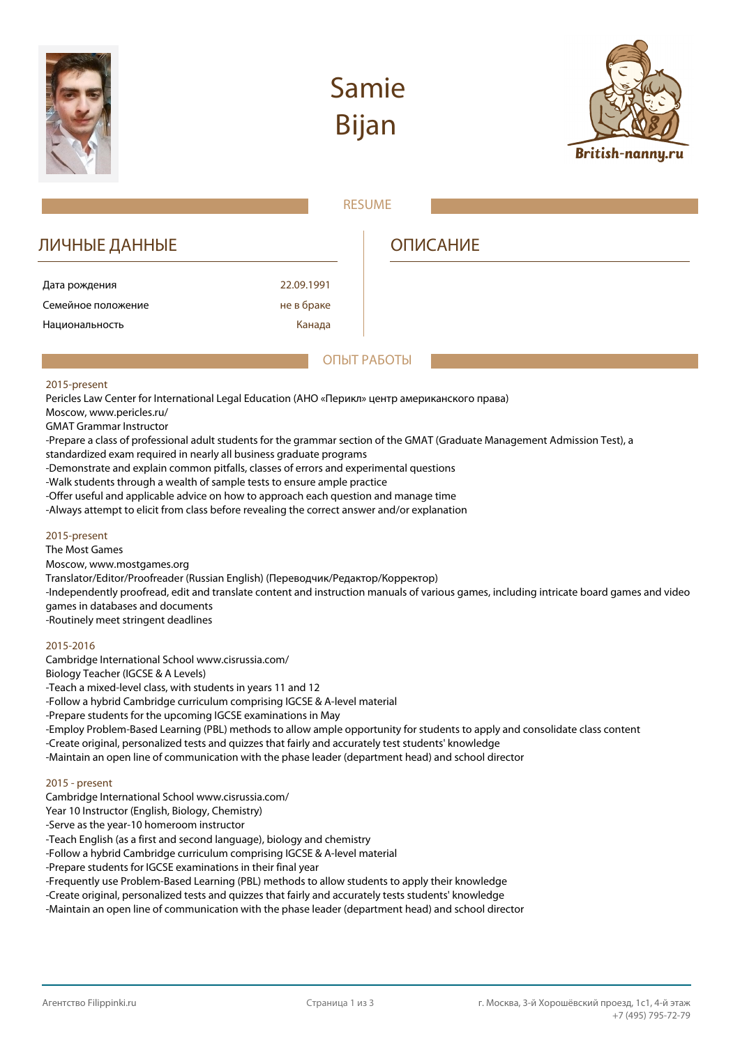

# **Samie Bijan**



|                                                                                                                                                                                                                                                                                                                                                                                                                                                                                                                                                                                                                                                                                                                |            | <b>RESUME</b>                                                                                                                            |
|----------------------------------------------------------------------------------------------------------------------------------------------------------------------------------------------------------------------------------------------------------------------------------------------------------------------------------------------------------------------------------------------------------------------------------------------------------------------------------------------------------------------------------------------------------------------------------------------------------------------------------------------------------------------------------------------------------------|------------|------------------------------------------------------------------------------------------------------------------------------------------|
| ЛИЧНЫЕ ДАННЫЕ                                                                                                                                                                                                                                                                                                                                                                                                                                                                                                                                                                                                                                                                                                  |            | <b>ОПИСАНИЕ</b>                                                                                                                          |
| Дата рождения                                                                                                                                                                                                                                                                                                                                                                                                                                                                                                                                                                                                                                                                                                  | 22.09.1991 |                                                                                                                                          |
| Семейное положение                                                                                                                                                                                                                                                                                                                                                                                                                                                                                                                                                                                                                                                                                             | не в браке |                                                                                                                                          |
| Национальность                                                                                                                                                                                                                                                                                                                                                                                                                                                                                                                                                                                                                                                                                                 | Канада     |                                                                                                                                          |
|                                                                                                                                                                                                                                                                                                                                                                                                                                                                                                                                                                                                                                                                                                                |            | ОПЫТ РАБОТЫ                                                                                                                              |
| 2015-present<br>Pericles Law Center for International Legal Education (АНО «Перикл» центр американского права)<br>Moscow, www.pericles.ru/<br><b>GMAT Grammar Instructor</b><br>standardized exam required in nearly all business graduate programs<br>-Demonstrate and explain common pitfalls, classes of errors and experimental questions<br>-Walk students through a wealth of sample tests to ensure ample practice<br>-Offer useful and applicable advice on how to approach each question and manage time<br>-Always attempt to elicit from class before revealing the correct answer and/or explanation                                                                                               |            | -Prepare a class of professional adult students for the grammar section of the GMAT (Graduate Management Admission Test), a              |
| 2015-present<br>The Most Games<br>Moscow, www.mostgames.org<br>Translator/Editor/Proofreader (Russian English) (Переводчик/Редактор/Корректор)<br>games in databases and documents<br>-Routinely meet stringent deadlines                                                                                                                                                                                                                                                                                                                                                                                                                                                                                      |            | -Independently proofread, edit and translate content and instruction manuals of various games, including intricate board games and video |
| 2015-2016<br>Cambridge International School www.cisrussia.com/<br>Biology Teacher (IGCSE & A Levels)<br>-Teach a mixed-level class, with students in years 11 and 12<br>-Follow a hybrid Cambridge curriculum comprising IGCSE & A-level material<br>-Prepare students for the upcoming IGCSE examinations in May<br>-Create original, personalized tests and quizzes that fairly and accurately test students' knowledge<br>-Maintain an open line of communication with the phase leader (department head) and school director                                                                                                                                                                               |            | -Employ Problem-Based Learning (PBL) methods to allow ample opportunity for students to apply and consolidate class content              |
| 2015 - present<br>Cambridge International School www.cisrussia.com/<br>Year 10 Instructor (English, Biology, Chemistry)<br>-Serve as the year-10 homeroom instructor<br>-Teach English (as a first and second language), biology and chemistry<br>-Follow a hybrid Cambridge curriculum comprising IGCSE & A-level material<br>-Prepare students for IGCSE examinations in their final year<br>-Frequently use Problem-Based Learning (PBL) methods to allow students to apply their knowledge<br>-Create original, personalized tests and quizzes that fairly and accurately tests students' knowledge<br>-Maintain an open line of communication with the phase leader (department head) and school director |            |                                                                                                                                          |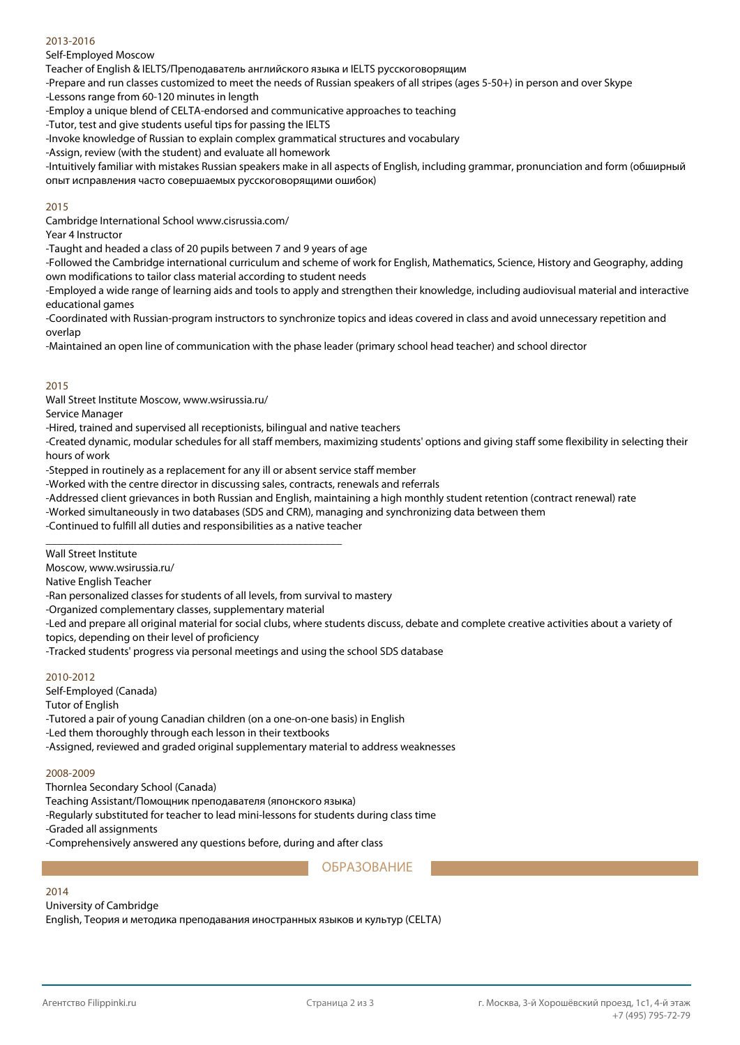### 2013-2016

Self-Employed Moscow

Teacher of English & IELTS/Преподаватель английского языка и IELTS русскоговорящим

-Prepare and run classes customized to meet the needs of Russian speakers of all stripes (ages 5-50+) in person and over Skype

-Lessons range from 60-120 minutes in length

-Employ a unique blend of CELTA-endorsed and communicative approaches to teaching

-Tutor, test and give students useful tips for passing the IELTS

-Invoke knowledge of Russian to explain complex grammatical structures and vocabulary

-Assign, review (with the student) and evaluate all homework

-Intuitively familiar with mistakes Russian speakers make in all aspects of English, including grammar, pronunciation and form (обширный опыт исправления часто совершаемых русскоговорящими ошибок)

### 2015

Cambridge International School www.cisrussia.com/

Year 4 Instructor

-Taught and headed a class of 20 pupils between 7 and 9 years of age

-Followed the Cambridge international curriculum and scheme of work for English, Mathematics, Science, History and Geography, adding own modifications to tailor class material according to student needs

-Employed a wide range of learning aids and tools to apply and strengthen their knowledge, including audiovisual material and interactive educational games

-Coordinated with Russian-program instructors to synchronize topics and ideas covered in class and avoid unnecessary repetition and overlap

-Maintained an open line of communication with the phase leader (primary school head teacher) and school director

### 2015

Wall Street Institute Moscow, www.wsirussia.ru/

Service Manager

-Hired, trained and supervised all receptionists, bilingual and native teachers

-Created dynamic, modular schedules for all staff members, maximizing students' options and giving staff some flexibility in selecting their hours of work

-Stepped in routinely as a replacement for any ill or absent service staff member

-Worked with the centre director in discussing sales, contracts, renewals and referrals

-Addressed client grievances in both Russian and English, maintaining a high monthly student retention (contract renewal) rate

-Worked simultaneously in two databases (SDS and CRM), managing and synchronizing data between them

-Continued to fulfill all duties and responsibilities as a native teacher

\_\_\_\_\_\_\_\_\_\_\_\_\_\_\_\_\_\_\_\_\_\_\_\_\_\_\_\_\_\_\_\_\_\_\_\_\_\_\_\_\_\_\_\_\_\_\_\_\_\_\_\_\_

Wall Street Institute

Moscow, www.wsirussia.ru/

Native English Teacher

-Ran personalized classes for students of all levels, from survival to mastery

-Organized complementary classes, supplementary material

-Led and prepare all original material for social clubs, where students discuss, debate and complete creative activities about a variety of topics, depending on their level of proficiency

-Tracked students' progress via personal meetings and using the school SDS database

### 2010-2012

Self-Employed (Canada)

Tutor of English

-Tutored a pair of young Canadian children (on a one-on-one basis) in English

-Led them thoroughly through each lesson in their textbooks

-Assigned, reviewed and graded original supplementary material to address weaknesses

#### 2008-2009

Thornlea Secondary School (Canada)

Teaching Assistant/Помощник преподавателя (японского языка)

-Regularly substituted for teacher to lead mini-lessons for students during class time

-Graded all assignments

-Comprehensively answered any questions before, during and after class

# ОБРАЗОВАНИЕ

## 2014

University of Cambridge

English, Теория и методика преподавания иностранных языков и культур (CELTA)